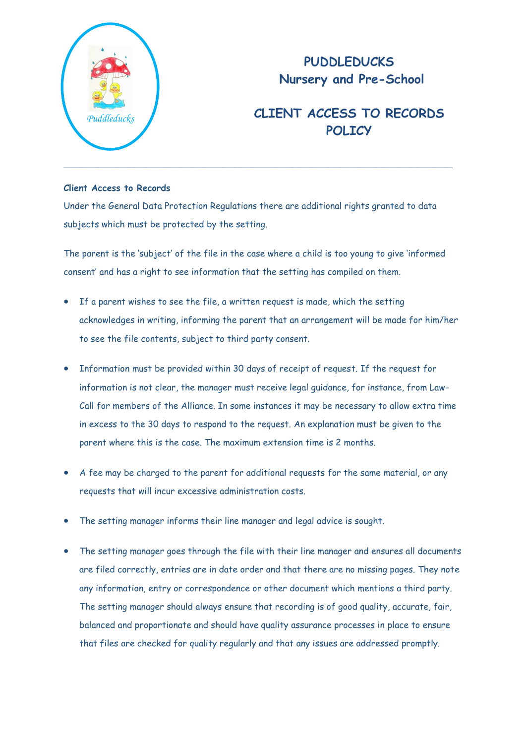

## **PUDDLEDUCKS Nursery and Pre-School**

## **CLIENT ACCESS TO RECORDS POLICY**

## **Client Access to Records**

Under the General Data Protection Regulations there are additional rights granted to data subjects which must be protected by the setting.

The parent is the 'subject' of the file in the case where a child is too young to give 'informed consent' and has a right to see information that the setting has compiled on them.

- If a parent wishes to see the file, a written request is made, which the setting acknowledges in writing, informing the parent that an arrangement will be made for him/her to see the file contents, subject to third party consent.
- Information must be provided within 30 days of receipt of request. If the request for information is not clear, the manager must receive legal guidance, for instance, from Law-Call for members of the Alliance. In some instances it may be necessary to allow extra time in excess to the 30 days to respond to the request. An explanation must be given to the parent where this is the case. The maximum extension time is 2 months.
- A fee may be charged to the parent for additional requests for the same material, or any requests that will incur excessive administration costs.
- The setting manager informs their line manager and legal advice is sought.
- The setting manager goes through the file with their line manager and ensures all documents are filed correctly, entries are in date order and that there are no missing pages. They note any information, entry or correspondence or other document which mentions a third party. The setting manager should always ensure that recording is of good quality, accurate, fair, balanced and proportionate and should have quality assurance processes in place to ensure that files are checked for quality regularly and that any issues are addressed promptly.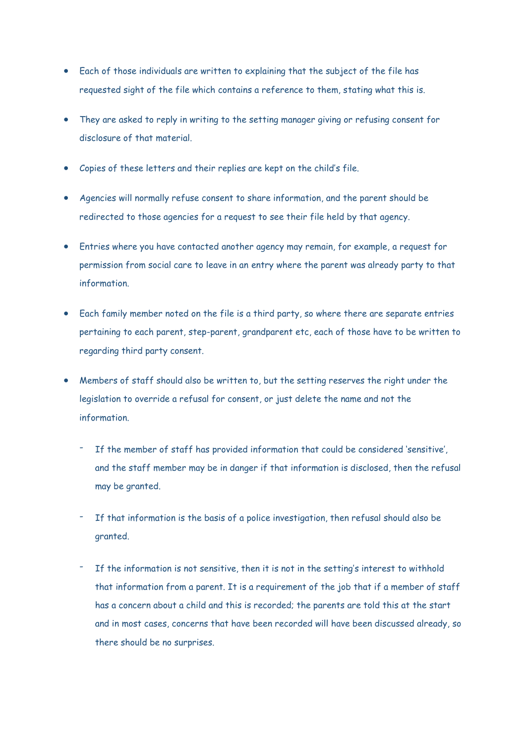- Each of those individuals are written to explaining that the subject of the file has requested sight of the file which contains a reference to them, stating what this is.
- They are asked to reply in writing to the setting manager giving or refusing consent for disclosure of that material.
- Copies of these letters and their replies are kept on the child's file.
- Agencies will normally refuse consent to share information, and the parent should be redirected to those agencies for a request to see their file held by that agency.
- Entries where you have contacted another agency may remain, for example, a request for permission from social care to leave in an entry where the parent was already party to that information.
- Each family member noted on the file is a third party, so where there are separate entries pertaining to each parent, step-parent, grandparent etc, each of those have to be written to regarding third party consent.
- Members of staff should also be written to, but the setting reserves the right under the legislation to override a refusal for consent, or just delete the name and not the information.
	- If the member of staff has provided information that could be considered 'sensitive', and the staff member may be in danger if that information is disclosed, then the refusal may be granted.
	- If that information is the basis of a police investigation, then refusal should also be granted.
	- If the information is not sensitive, then it is not in the setting's interest to withhold that information from a parent. It is a requirement of the job that if a member of staff has a concern about a child and this is recorded; the parents are told this at the start and in most cases, concerns that have been recorded will have been discussed already, so there should be no surprises.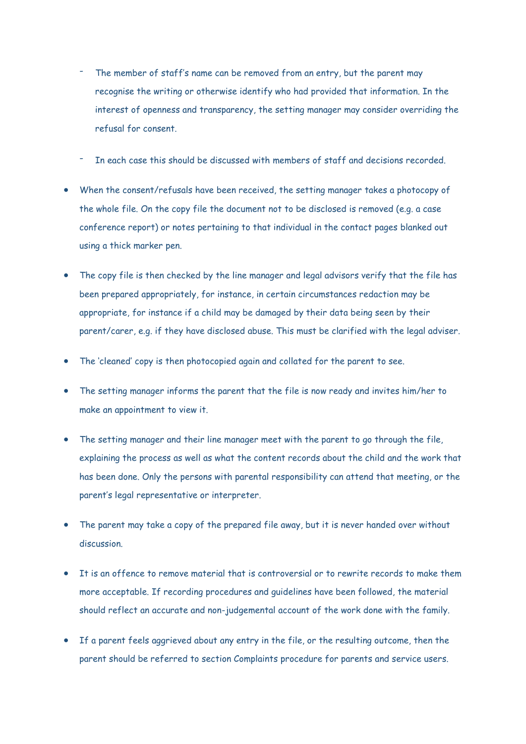- The member of staff's name can be removed from an entry, but the parent may recognise the writing or otherwise identify who had provided that information. In the interest of openness and transparency, the setting manager may consider overriding the refusal for consent.
- In each case this should be discussed with members of staff and decisions recorded.
- When the consent/refusals have been received, the setting manager takes a photocopy of the whole file. On the copy file the document not to be disclosed is removed (e.g. a case conference report) or notes pertaining to that individual in the contact pages blanked out using a thick marker pen.
- The copy file is then checked by the line manager and legal advisors verify that the file has been prepared appropriately, for instance, in certain circumstances redaction may be appropriate, for instance if a child may be damaged by their data being seen by their parent/carer, e.g. if they have disclosed abuse. This must be clarified with the legal adviser.
- The 'cleaned' copy is then photocopied again and collated for the parent to see.
- The setting manager informs the parent that the file is now ready and invites him/her to make an appointment to view it.
- The setting manager and their line manager meet with the parent to go through the file, explaining the process as well as what the content records about the child and the work that has been done. Only the persons with parental responsibility can attend that meeting, or the parent's legal representative or interpreter.
- The parent may take a copy of the prepared file away, but it is never handed over without discussion.
- It is an offence to remove material that is controversial or to rewrite records to make them more acceptable. If recording procedures and guidelines have been followed, the material should reflect an accurate and non-judgemental account of the work done with the family.
- If a parent feels aggrieved about any entry in the file, or the resulting outcome, then the parent should be referred to section Complaints procedure for parents and service users.